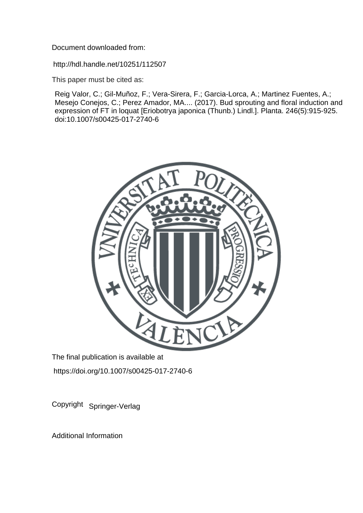Document downloaded from:

http://hdl.handle.net/10251/112507

This paper must be cited as:

Reig Valor, C.; Gil-Muñoz, F.; Vera-Sirera, F.; Garcia-Lorca, A.; Martinez Fuentes, A.; Mesejo Conejos, C.; Perez Amador, MA.... (2017). Bud sprouting and floral induction and expression of FT in loquat [Eriobotrya japonica (Thunb.) Lindl.]. Planta. 246(5):915-925. doi:10.1007/s00425-017-2740-6



The final publication is available at https://doi.org/10.1007/s00425-017-2740-6

Copyright Springer-Verlag

Additional Information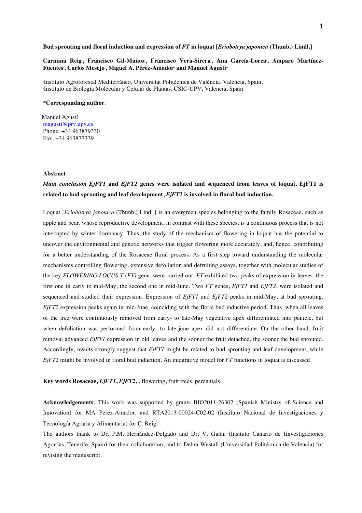#### **Bud sprouting and floral induction and expression of** *FT* **in loquat [***Eriobotrya japonica* **(Thunb.) Lindl.]**

Carmina Reig ,Francisco Gil-Muñoz ,Francisco Vera-Sirera ,Ana García-Lorca ,Amparo Martínez- $\bold{F}$ uentes<sup>,</sup> , Carlos Mesejo<sup>,</sup> , Miguel A. Pérez-Amador<sup>,</sup> and Manuel Agustí<sup>..</sup>

Instituto Agroforestal Mediterráneo, Universitat Politècnica de València, Valencia, Spain. Instituto de Biología Molecular y Celular de Plantas, CSIC-UPV, Valencia, Spain

## \***Corresponding author**:

 Manuel Agustí magusti@prv.upv.es Phone: +34 963879330 Fax: +34 963877339

## **Abstract**

# *Main conclusion EjFT1* **and** *EjFT2* **genes were isolated and sequenced from leaves of loquat. EjFT1 is related to bud sprouting and leaf development,** *EjFT2* **is involved in floral bud induction.**

Loquat [*Eriobotrya japonica* (Thunb.) Lindl.] is an evergreen species belonging to the family Rosaceae, such as apple and pear, whose reproductive development, in contrast with these species, is a continuous process that is not interrupted by winter dormancy. Thus, the study of the mechanism of flowering in loquat has the potential to uncover the environmental and genetic networks that trigger flowering more accurately, and, hence, contributing for a better understanding of the Rosaceae floral process. As a first step toward understanding the molecular mechanisms controlling flowering, extensive defoliation and defruiting assays, together with molecular studies of the key *FLOWERING LOCUS T* (*FT)* gene, were carried out. *FT* exhibited two peaks of expression in leaves, the first one in early to mid-May, the second one in mid-June. Two *FT* genes, *EjFT1* and *EjFT2*, were isolated and sequenced and studied their expression. Expression of *EjFT1* and *EjFT2* peaks in mid-May, at bud sprouting. *EjFT2* expression peaks again in mid-June, coinciding with the floral bud inductive period. Thus, when all leaves of the tree were continuously removed from early- to late-May vegetative apex differentiated into panicle, but when defoliation was performed from early- to late-june apex did not differentiate. On the other hand, fruit removal advanced *EjFT1* expression in old leaves and the sooner the fruit detached, the sooner the bud sprouted. Accordingly, results strongly suggest that *EjFT1* might be related to bud sprouting and leaf development, while *EjFT2* might be involved in floral bud induction. An integrative model for *FT* functions in loquat is discussed.

**Key words Rosaceae,** *EjFT1***,** *EjFT2***,** , flowering, fruit trees, perennials.

**Acknowledgements**: This work was supported by grants BIO2011-26302 (Spanish Ministry of Science and Innovation) for MA Perez-Amador, and RTA2013-00024-C02-02 (Instituto Nacional de Investigaciones y Tecnología Agraria y Alimentaria) for C. Reig.

The authors thank to Dr. P.M. Hernández-Delgado and Dr. V. Galán (Insituto Canario de Iinvestigaciones Agrarias, Tenerife, Spain) for their collaboration, and to Debra Westall (Universidad Politécnica de Valencia) for revising the manuscript.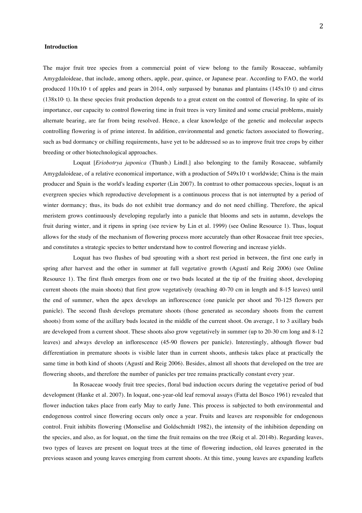#### **Introduction**

The major fruit tree species from a commercial point of view belong to the family Rosaceae, subfamily Amygdaloideae, that include, among others, apple, pear, quince, or Japanese pear. According to FAO, the world produced  $110x10<sup>6</sup>$  t of apples and pears in 2014, only surpassed by bananas and plantains (145x10 $<sup>6</sup>$  t) and citrus</sup>  $(138x10t)$ . In these species fruit production depends to a great extent on the control of flowering. In spite of its importance, our capacity to control flowering time in fruit trees is very limited and some crucial problems, mainly alternate bearing, are far from being resolved. Hence, a clear knowledge of the genetic and molecular aspects controlling flowering is of prime interest. In addition, environmental and genetic factors associated to flowering, such as bud dormancy or chilling requirements, have yet to be addressed so as to improve fruit tree crops by either breeding or other biotechnological approaches.

Loquat [*Eriobotrya japonica* (Thunb.) Lindl.] also belonging to the family Rosaceae, subfamily Amygdaloideae, of a relative economical importance, with a production of 549x10 t worldwide; China is the main producer and Spain is the world's leading exporter (Lin 2007). In contrast to other pomaceous species, loquat is an evergreen species which reproductive development is a continuous process that is not interrupted by a period of winter dormancy; thus, its buds do not exhibit true dormancy and do not need chilling. Therefore, the apical meristem grows continuously developing regularly into a panicle that blooms and sets in autumn, develops the fruit during winter, and it ripens in spring (see review by Lin et al. 1999) (see Online Resource 1). Thus, loquat allows for the study of the mechanism of flowering process more accurately than other Rosaceae fruit tree species, and constitutes a strategic species to better understand how to control flowering and increase yields.

Loquat has two flushes of bud sprouting with a short rest period in between, the first one early in spring after harvest and the other in summer at full vegetative growth (Agustí and Reig 2006) (see Online Resource 1). The first flush emerges from one or two buds located at the tip of the fruiting shoot, developing current shoots (the main shoots) that first grow vegetatively (reaching 40-70 cm in length and 8-15 leaves) until the end of summer, when the apex develops an inflorescence (one panicle per shoot and 70-125 flowers per panicle). The second flush develops premature shoots (those generated as secondary shoots from the current shoots) from some of the axillary buds located in the middle of the current shoot. On average, 1 to 3 axillary buds are developed from a current shoot. These shoots also grow vegetatively in summer (up to 20-30 cm long and 8-12 leaves) and always develop an inflorescence (45-90 flowers per panicle). Interestingly, although flower bud differentiation in premature shoots is visible later than in current shoots, anthesis takes place at practically the same time in both kind of shoots (Agustí and Reig 2006). Besides, almost all shoots that developed on the tree are flowering shoots, and therefore the number of panicles per tree remains practically constant every year.

In Rosaceae woody fruit tree species, floral bud induction occurs during the vegetative period of bud development (Hanke et al. 2007). In loquat, one-year-old leaf removal assays (Fatta del Bosco 1961) revealed that flower induction takes place from early May to early June. This process is subjected to both environmental and endogenous control since flowering occurs only once a year. Fruits and leaves are responsible for endogenous control. Fruit inhibits flowering (Monselise and Goldschmidt 1982), the intensity of the inhibition depending on the species, and also, as for loquat, on the time the fruit remains on the tree (Reig et al. 2014b). Regarding leaves, two types of leaves are present on loquat trees at the time of flowering induction, old leaves generated in the previous season and young leaves emerging from current shoots. At this time, young leaves are expanding leaflets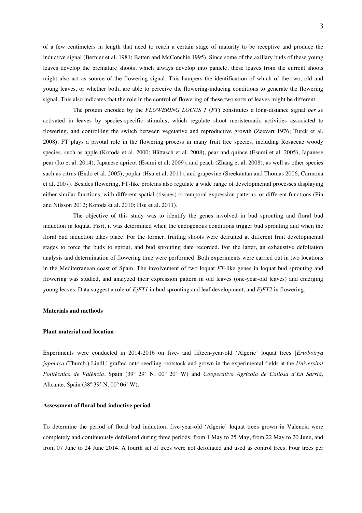of a few centimeters in length that need to reach a certain stage of maturity to be receptive and produce the inductive signal (Bernier et al. 1981; Batten and McConchie 1995). Since some of the axillary buds of these young leaves develop the premature shoots, which always develop into panicle, these leaves from the current shoots might also act as source of the flowering signal. This hampers the identification of which of the two, old and young leaves, or whether both, are able to perceive the flowering-inducing conditions to generate the flowering signal. This also indicates that the role in the control of flowering of these two sorts of leaves might be different.

The protein encoded by the *FLOWERING LOCUS T* (*FT*) constitutes a long-distance signal *per se* activated in leaves by species-specific stimulus, which regulate shoot meristematic activities associated to flowering, and controlling the switch between vegetative and reproductive growth (Zeevart 1976; Turck et al. 2008). FT plays a pivotal role in the flowering process in many fruit tree species, including Rosaceae woody species, such as apple (Kotoda et al. 2000; Hättasch et al. 2008), pear and quince (Esumi et al. 2005), Japanese pear (Ito et al. 2014), Japanese apricot (Esumi et al. 2009), and peach (Zhang et al. 2008), as well as other species such as citrus (Endo et al. 2005), poplar (Hsu et al. 2011), and grapevine (Sreekantan and Thomas 2006; Carmona et al. 2007). Besides flowering, FT-like proteins also regulate a wide range of developmental processes displaying either similar functions, with different spatial (tissues) or temporal expression patterns, or different functions (Pin and Nilsson 2012; Kotoda et al. 2010; Hsu et al. 2011).

The objective of this study was to identify the genes involved in bud sprouting and floral bud induction in loquat. Fisrt, it was determined when the endogenous conditions trigger bud sprouting and when the floral bud induction takes place. For the former, fruiting shoots were defruited at different fruit developmental stages to force the buds to sprout, and bud sprouting date recorded. For the latter, an exhaustive defoliation analysis and determination of flowering time were performed. Both experiments were carried out in two locations in the Mediterranean coast of Spain. The involvement of two loquat *FT*-like genes in loquat bud sprouting and flowering was studied, and analyzed their expression pattern in old leaves (one-year-old leaves) and emerging young leaves. Data suggest a role of *EjFT1* in bud sprouting and leaf development, and *EjFT2* in flowering.

## **Materials and methods**

#### **Plant material and location**

Experiments were conducted in 2014-2016 on five- and fifteen-year-old 'Algerie' loquat trees [*Eriobotrya japonica* (Thumb.) Lindl.] grafted onto seedling rootstock and grown in the experimental fields at the *Universitat Politècnica de València*, Spain (39º 29' N, 00º 20' W) and *Cooperativa Agrícola de Callosa d'En Sarriá*, Alicante, Spain (38º 39' N, 00º 06' W).

### **Assessment of floral bud inductive period**

To determine the period of floral bud induction, five-year-old 'Algerie' loquat trees grown in Valencia were completely and continuously defoliated during three periods: from 1 May to 25 May, from 22 May to 20 June, and from 07 June to 24 June 2014. A fourth set of trees were not defoliated and used as control trees. Four trees per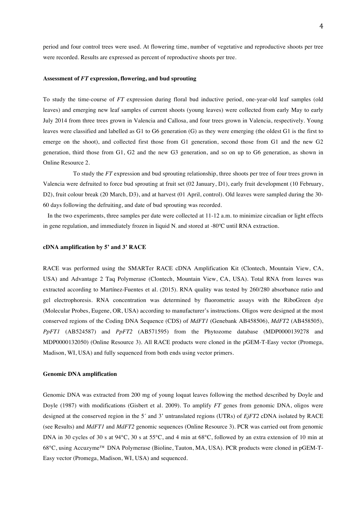period and four control trees were used. At flowering time, number of vegetative and reproductive shoots per tree were recorded. Results are expressed as percent of reproductive shoots per tree.

#### **Assessment of** *FT* **expression, flowering, and bud sprouting**

To study the time-course of *FT* expression during floral bud inductive period, one-year-old leaf samples (old leaves) and emerging new leaf samples of current shoots (young leaves) were collected from early May to early July 2014 from three trees grown in Valencia and Callosa, and four trees grown in Valencia, respectively. Young leaves were classified and labelled as G1 to G6 generation (G) as they were emerging (the oldest G1 is the first to emerge on the shoot), and collected first those from G1 generation, second those from G1 and the new G2 generation, third those from G1, G2 and the new G3 generation, and so on up to G6 generation, as shown in Online Resource 2.

To study the *FT* expression and bud sprouting relationship, three shoots per tree of four trees grown in Valencia were defruited to force bud sprouting at fruit set (02 January, D1), early fruit development (10 February, D2), fruit colour break (20 March, D3), and at harvest (01 April, control). Old leaves were sampled during the 30- 60 days following the defruiting, and date of bud sprouting was recorded.

 In the two experiments, three samples per date were collected at 11-12 a.m. to minimize circadian or light effects in gene regulation, and immediately frozen in liquid N. and stored at  $-80^{\circ}$ C until RNA extraction.

#### **cDNA amplification by 5' and 3' RACE**

RACE was performed using the SMARTer RACE cDNA Amplification Kit (Clontech, Mountain View, CA, USA) and Advantage 2 Taq Polymerase (Clontech, Mountain View, CA, USA). Total RNA from leaves was extracted according to Martínez-Fuentes et al. (2015). RNA quality was tested by 260/280 absorbance ratio and gel electrophoresis. RNA concentration was determined by fluorometric assays with the RiboGreen dye (Molecular Probes, Eugene, OR, USA) according to manufacturer's instructions. Oligos were designed at the most conserved regions of the Coding DNA Sequence (CDS) of *MdFT1* (Genebank AB458506), *MdFT2* (AB458505), *PpFT1* (AB524587) and *PpFT2* (AB571595) from the Phytozome database (MDP0000139278 and MDP0000132050) (Online Resource 3). All RACE products were cloned in the pGEM-T-Easy vector (Promega, Madison, WI, USA) and fully sequenced from both ends using vector primers.

#### **Genomic DNA amplification**

Genomic DNA was extracted from 200 mg of young loquat leaves following the method described by Doyle and Doyle (1987) with modifications (Gisbert et al. 2009). To amplify *FT* genes from genomic DNA, oligos were designed at the conserved region in the 5´ and 3' untranslated regions (UTRs) of *EjFT2* cDNA isolated by RACE (see Results) and *MdFT1* and *MdFT2* genomic sequences (Online Resource 3). PCR was carried out from genomic DNA in 30 cycles of 30 s at 94°C, 30 s at 55°C, and 4 min at 68°C, followed by an extra extension of 10 min at 68°C, using Accuzyme™ DNA Polymerase (Bioline, Tauton, MA, USA). PCR products were cloned in pGEM-T-Easy vector (Promega, Madison, WI, USA) and sequenced.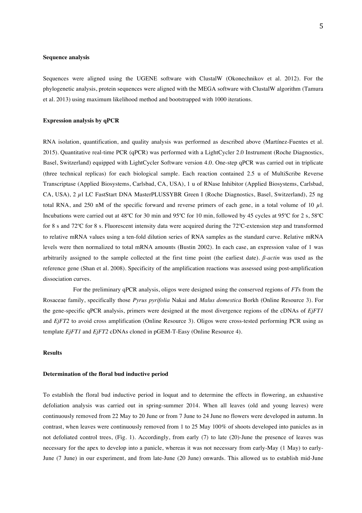## **Sequence analysis**

Sequences were aligned using the UGENE software with ClustalW (Okonechnikov et al. 2012). For the phylogenetic analysis, protein sequences were aligned with the MEGA software with ClustalW algorithm (Tamura et al. 2013) using maximum likelihood method and bootstrapped with 1000 iterations.

## **Expression analysis by qPCR**

RNA isolation, quantification, and quality analysis was performed as described above (Martínez-Fuentes et al. 2015). Quantitative real-time PCR (qPCR) was performed with a LightCycler 2.0 Instrument (Roche Diagnostics, Basel, Switzerland) equipped with LightCycler Software version 4.0. One-step qPCR was carried out in triplicate (three technical replicas) for each biological sample. Each reaction contained 2.5 u of MultiScribe Reverse Transcriptase (Applied Biosystems, Carlsbad, CA, USA), 1 u of RNase Inhibitor (Applied Biosystems, Carlsbad, CA, USA), 2 µl LC FastStart DNA MasterPLUSSYBR Green I (Roche Diagnostics, Basel, Switzerland), 25 ng total RNA, and 250 nM of the specific forward and reverse primers of each gene, in a total volume of 10  $\mu$ . Incubations were carried out at 48ºC for 30 min and 95ºC for 10 min, followed by 45 cycles at 95ºC for 2 s, 58ºC for 8 s and 72ºC for 8 s. Fluorescent intensity data were acquired during the 72ºC-extension step and transformed to relative mRNA values using a ten-fold dilution series of RNA samples as the standard curve. Relative mRNA levels were then normalized to total mRNA amounts (Bustin 2002). In each case, an expression value of 1 was arbitrarily assigned to the sample collected at the first time point (the earliest date). *ß-actin* was used as the reference gene (Shan et al. 2008). Specificity of the amplification reactions was assessed using post-amplification dissociation curves.

For the preliminary qPCR analysis, oligos were designed using the conserved regions of *FT*s from the Rosaceae family, specifically those *Pyrus pyrifolia* Nakai and *Malus domestica* Borkh (Online Resource 3). For the gene-specific qPCR analysis, primers were designed at the most divergence regions of the cDNAs of *EjFT1* and *EjFT2* to avoid cross amplification (Online Resource 3). Oligos were cross-tested performing PCR using as template *EjFT1* and *EjFT2* cDNAs cloned in pGEM-T-Easy (Online Resource 4).

# **Results**

#### **Determination of the floral bud inductive period**

To establish the floral bud inductive period in loquat and to determine the effects in flowering, an exhaustive defoliation analysis was carried out in spring-summer 2014. When all leaves (old and young leaves) were continuously removed from 22 May to 20 June or from 7 June to 24 June no flowers were developed in autumn. In contrast, when leaves were continuously removed from 1 to 25 May 100% of shoots developed into panicles as in not defoliated control trees, (Fig. 1). Accordingly, from early (7) to late (20)-June the presence of leaves was necessary for the apex to develop into a panicle, whereas it was not necessary from early-May (1 May) to early-June (7 June) in our experiment, and from late-June (20 June) onwards. This allowed us to establish mid-June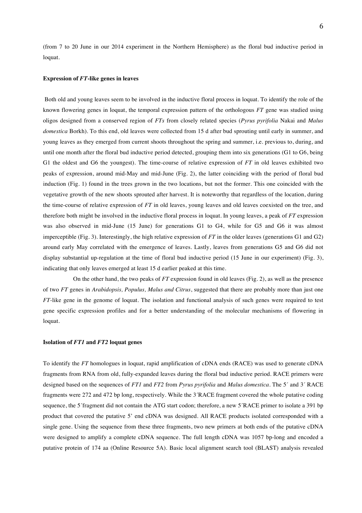(from 7 to 20 June in our 2014 experiment in the Northern Hemisphere) as the floral bud inductive period in loquat.

#### **Expression of** *FT***-like genes in leaves**

Both old and young leaves seem to be involved in the inductive floral process in loquat. To identify the role of the known flowering genes in loquat, the temporal expression pattern of the orthologous *FT* gene was studied using oligos designed from a conserved region of *FTs* from closely related species (*Pyrus pyrifolia* Nakai and *Malus domestica* Borkh). To this end, old leaves were collected from 15 d after bud sprouting until early in summer, and young leaves as they emerged from current shoots throughout the spring and summer, i.e. previous to, during, and until one month after the floral bud inductive period detected, grouping them into six generations (G1 to G6, being G1 the oldest and G6 the youngest). The time-course of relative expression of *FT* in old leaves exhibited two peaks of expression, around mid-May and mid-June (Fig. 2), the latter coinciding with the period of floral bud induction (Fig. 1) found in the trees grown in the two locations, but not the former. This one coincided with the vegetative growth of the new shoots sprouted after harvest. It is noteworthy that regardless of the location, during the time-course of relative expression of *FT* in old leaves, young leaves and old leaves coexisted on the tree, and therefore both might be involved in the inductive floral process in loquat. In young leaves, a peak of *FT* expression was also observed in mid-June (15 June) for generations G1 to G4, while for G5 and G6 it was almost imperceptible (Fig. 3). Interestingly, the high relative expression of *FT* in the older leaves (generations G1 and G2) around early May correlated with the emergence of leaves. Lastly, leaves from generations G5 and G6 did not display substantial up-regulation at the time of floral bud inductive period (15 June in our experiment) (Fig. 3), indicating that only leaves emerged at least 15 d earlier peaked at this time.

On the other hand, the two peaks of *FT* expression found in old leaves (Fig. 2), as well as the presence of two *FT* genes in *Arabidopsis, Populus, Malus and Citrus*, suggested that there are probably more than just one *FT*-like gene in the genome of loquat. The isolation and functional analysis of such genes were required to test gene specific expression profiles and for a better understanding of the molecular mechanisms of flowering in loquat.

# **Isolation of** *FT1* **and** *FT2* **loquat genes**

To identify the *FT* homologues in loquat, rapid amplification of cDNA ends (RACE) was used to generate cDNA fragments from RNA from old, fully-expanded leaves during the floral bud inductive period. RACE primers were designed based on the sequences of *FT1* and *FT2* from *Pyrus pyrifolia* and *Malus domestica*. The 5´ and 3´ RACE fragments were 272 and 472 bp long, respectively. While the 3´RACE fragment covered the whole putative coding sequence, the 5´fragment did not contain the ATG start codon; therefore, a new 5´RACE primer to isolate a 391 bp product that covered the putative 5' end cDNA was designed. All RACE products isolated corresponded with a single gene. Using the sequence from these three fragments, two new primers at both ends of the putative cDNA were designed to amplify a complete cDNA sequence. The full length cDNA was 1057 bp-long and encoded a putative protein of 174 aa (Online Resource 5A). Basic local alignment search tool (BLAST) analysis revealed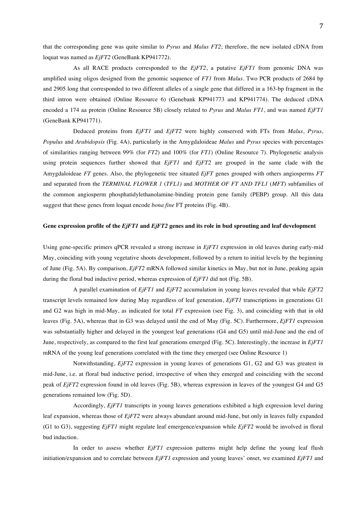that the corresponding gene was quite similar to *Pyrus* and *Malus FT2*; therefore, the new isolated cDNA from loquat was named as *EjFT2* (GeneBank KP941772).

As all RACE products corresponded to the *EjFT2*, a putative *EjFT1* from genomic DNA was amplified using oligos designed from the genomic sequence of *FT1* from *Malus.* Two PCR products of 2684 bp and 2905 long that corresponded to two different alleles of a single gene that differed in a 163-bp fragment in the third intron were obtained (Online Resource 6) (Genebank KP941773 and KP941774). The deduced cDNA encoded a 174 aa protein (Online Resource 5B) closely related to *Pyrus* and *Malus FT1*, and was named *EjFT1*  (GeneBank KP941771).

Deduced proteins from *EjFT1* and *EjFT2* were highly conserved with FTs from *Malus*, *Pyrus*, *Populus* and *Arabidopsis* (Fig. 4A), particularly in the Amygdaloideae *Malus* and *Pyrus* species with percentages of similarities ranging between 99% (for *FT2*) and 100% (for *FT1*) (Online Resource 7). Phylogenetic analysis using protein sequences further showed that *EjFT1* and *EjFT2* are grouped in the same clade with the Amygdaloideae *FT* genes. Also, the phylogenetic tree situated *EjFT* genes grouped with others angiosperms *FT* and separated from the *TERMINAL FLOWER 1* (*TFL1)* and *MOTHER OF FT AND TFL1* (*MFT*) subfamilies of the common angiosperm phosphatidylethanolamine-binding protein gene family (PEBP) group. All this data suggest that these genes from loquat encode *bona fine* FT proteins (Fig. 4B).

# **Gene expression profile of the** *EjFT1* **and** *EjFT2* **genes and its role in bud sprouting and leaf development**

Using gene-specific primers qPCR revealed a strong increase in *EjFT1* expression in old leaves during early-mid May, coinciding with young vegetative shoots development, followed by a return to initial levels by the beginning of June (Fig. 5A). By comparison, *EjFT2* mRNA followed similar kinetics in May, but not in June, peaking again during the floral bud inductive period, whereas expression of *EjFT1* did not (Fig. 5B).

A parallel examination of *EjFT1* and *EjFT2* accumulation in young leaves revealed that while *EjFT2*  transcript levels remained low during May regardless of leaf generation, *EjFT1* transcriptions in generations G1 and G2 was high in mid-May, as indicated for total *FT* expression (see Fig. 3), and coinciding with that in old leaves (Fig. 5A), whereas that in G3 was delayed until the end of May (Fig. 5C). Furthermore, *EjFT1* expression was substantially higher and delayed in the youngest leaf generations (G4 and G5) until mid-June and the end of June, respectively, as compared to the first leaf generations emerged (Fig. 5C). Interestingly, the increase in *EjFT1* mRNA of the young leaf generations correlated with the time they emerged (see Online Resource 1)

Notwithstanding, *EjFT2* expression in young leaves of generations G1, G2 and G3 was greatest in mid-June, i.e. at floral bud inductive period, irrespective of when they emerged and coinciding with the second peak of *EjFT2* expression found in old leaves (Fig. 5B), whereas expression in leaves of the youngest G4 and G5 generations remained low (Fig. 5D).

Accordingly, *EjFT1* transcripts in young leaves generations exhibited a high expression level during leaf expansion, whereas those of *EjFT2* were always abundant around mid-June, but only in leaves fully expanded (G1 to G3), suggesting *EjFT1* might regulate leaf emergence/expansion while *EjFT2* would be involved in floral bud induction.

In order to assess whether *EjFT1* expression patterns might help define the young leaf flush initiation/expansion and to correlate between *EjFT1* expression and young leaves' onset*,* we examined *EjFT1* and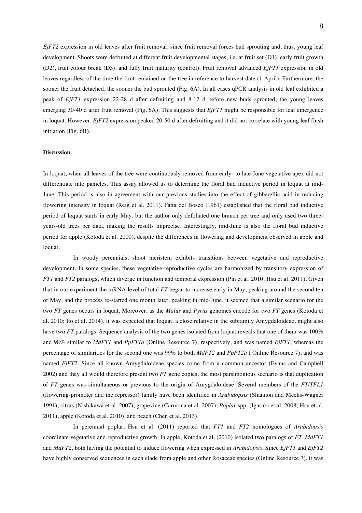*EjFT2* expression in old leaves after fruit removal, since fruit removal forces bud sprouting and, thus, young leaf development. Shoots were defruited at different fruit developmental stages, i.e. at fruit set (D1), early fruit growth (D2), fruit colour break (D3), and fully fruit maturity (control). Fruit removal advanced *EjFT1* expression in old leaves regardless of the time the fruit remained on the tree in reference to harvest date (1 April). Furthermore, the sooner the fruit detached, the sooner the bud sprouted (Fig. 6A). In all cases qPCR analysis in old leaf exhibited a peak of *EjFT1* expression 22-28 d after defruiting and 8-12 d before new buds sprouted, the young leaves emerging 30-40 d after fruit removal (Fig. 6A). This suggests that *EjFT1* might be responsible for leaf emergence in loquat. However, *EjFT2* expression peaked 20-50 d after defruiting and it did not correlate with young leaf flush initiation (Fig. 6B).

## **Discussion**

In loquat, when all leaves of the tree were continuously removed from early- to late-June vegetative apex did not differentiate into panicles. This assay allowed us to determine the floral bud inductive period in loquat at mid-June. This period is also in agreement with our previous studies into the effect of gibberellic acid in reducing flowering intensity in loquat (Reig et al. 2011). Fatta del Bosco (1961) established that the floral bud inductive period of loquat starts in early May, but the author only defoliated one branch per tree and only used two threeyears-old trees per data, making the results imprecise. Interestingly, mid-June is also the floral bud inductive period for apple (Kotoda et al. 2000), despite the differences in flowering and development observed in apple and loquat.

In woody perennials, shoot meristem exhibits transitions between vegetative and reproductive development. In some species, these vegetative-reproductive cycles are harmonized by transitory expression of *FT1* and *FT2* paralogs, which diverge in function and temporal expression (Pin et al. 2010; Hsu et al. 2011). Given that in our experiment the mRNA level of total *FT* began to increase early in May, peaking around the second ten of May, and the process re-started one month later, peaking in mid-June, it seemed that a similar scenario for the two *FT* genes occurs in loquat. Moreover, as the *Malus* and *Pyrus* genomes encode for two *FT* genes (Kotoda et al. 2010; Ito et al. 2014), it was expected that loquat, a close relative in the subfamily Amygdaloideae, might also have two *FT* paralogs. Sequence analysis of the two genes isolated from loquat reveals that one of them was 100% and 98% similar to *MdFT1* and *PpFT1a* (Online Resource 7), respectively, and was named *EjFT1*, whereas the percentage of similarities for the second one was 99% to both *MdFT2* and *PpFT2a* ( Online Resource 7), and was named *EjFT2*. Since all known Amygdaloideae species come from a common ancestor (Evans and Campbell 2002) and they all would therefore present two *FT* gene copies, the most parsimonious scenario is that duplication of *FT* genes was simultaneous or previous to the origin of Amygdaloideae. Several members of the *FT*/*TFL1* (flowering-promoter and the repressor) family have been identified in *Arabidopsis* (Shannon and Meeks-Wagner 1991), citrus (Nishikawa et al. 2007), grapevine (Carmona et al. 2007), *Poplar* spp. (Igasaki et al. 2008; Hsu et al. 2011), apple (Kotoda et al. 2010), and peach (Chen et al. 2013).

In perennial poplar, Hsu et al. (2011) reported that *FT1* and *FT2* homologues of *Arabidopsis*  coordinate vegetative and reproductive growth. In apple, Kotoda et al. (2010) isolated two paralogs of *FT*, *MdFT1* and *MdFT2*, both having the potential to induce flowering when expressed in *Arabidopsis*. Since *EjFT1* and *EjFT2* have highly conserved sequences in each clade from apple and other Rosaceae species (Online Resource 7), it was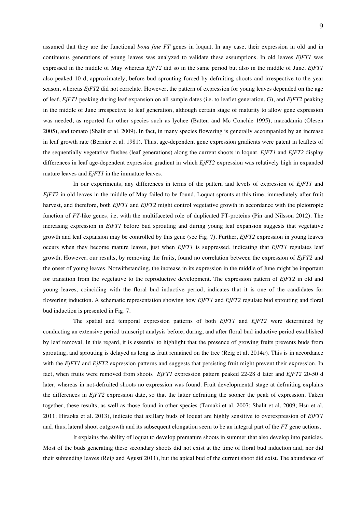assumed that they are the functional *bona fine FT* genes in loquat. In any case, their expression in old and in continuous generations of young leaves was analyzed to validate these assumptions. In old leaves *EjFT1* was expressed in the middle of May whereas *EjFT2* did so in the same period but also in the middle of June. *EjFT1* also peaked 10 d, approximately, before bud sprouting forced by defruiting shoots and irrespective to the year season, whereas *EjFT2* did not correlate. However, the pattern of expression for young leaves depended on the age of leaf, *EjFT1* peaking during leaf expansion on all sample dates (i.e. to leaflet generation, G), and *EjFT2* peaking in the middle of June irrespective to leaf generation, although certain stage of maturity to allow gene expression was needed, as reported for other species such as lychee (Batten and Mc Conchie 1995), macadamia (Olesen 2005), and tomato (Shalit et al. 2009). In fact, in many species flowering is generally accompanied by an increase in leaf growth rate (Bernier et al. 1981). Thus, age-dependent gene expression gradients were patent in leaflets of the sequentially vegetative flushes (leaf generations) along the current shoots in loquat. *EjFT1* and *EjFT2* display differences in leaf age-dependent expression gradient in which *EjFT2* expression was relatively high in expanded mature leaves and *EjFT1* in the immature leaves.

In our experiments, any differences in terms of the pattern and levels of expression of *EjFT1* and *EjFT2* in old leaves in the middle of May failed to be found. Loquat sprouts at this time, immediately after fruit harvest, and therefore, both *EjFT1* and *EjFT2* might control vegetative growth in accordance with the pleiotropic function of *FT*-like genes, i.e. with the multifaceted role of duplicated FT-proteins (Pin and Nilsson 2012). The increasing expression in *EjFT1* before bud sprouting and during young leaf expansion suggests that vegetative growth and leaf expansion may be controlled by this gene (see Fig. 7). Further, *EjFT2* expression in young leaves occurs when they become mature leaves, just when *EjFT1* is suppressed, indicating that *EjFT1* regulates leaf growth. However, our results, by removing the fruits, found no correlation between the expression of *EjFT2* and the onset of young leaves. Notwithstanding, the increase in its expression in the middle of June might be important for transition from the vegetative to the reproductive development. The expression pattern of *EjFT2* in old and young leaves, coinciding with the floral bud inductive period, indicates that it is one of the candidates for flowering induction. A schematic representation showing how *EjFT1* and *EjFT2* regulate bud sprouting and floral bud induction is presented in Fig. 7.

The spatial and temporal expression patterns of both *EjFT1* and *EjFT2* were determined by conducting an extensive period transcript analysis before, during, and after floral bud inductive period established by leaf removal. In this regard, it is essential to highlight that the presence of growing fruits prevents buds from sprouting, and sprouting is delayed as long as fruit remained on the tree (Reig et al. 2014*a*). This is in accordance with the *EjFT1* and *EjFT2* expression patterns and suggests that persisting fruit might prevent their expression. In fact, when fruits were removed from shoots *EjFT1* expression pattern peaked 22-28 d later and *EjFT2* 20-50 d later, whereas in not-defruited shoots no expression was found. Fruit developmental stage at defruiting explains the differences in *EjFT2* expression date, so that the latter defruiting the sooner the peak of expression. Taken together, these results, as well as those found in other species (Tamaki et al. 2007; Shalit et al. 2009; Hsu et al. 2011; Hiraoka et al. 2013), indicate that axillary buds of loquat are highly sensitive to overexpression of *EjFT1* and, thus, lateral shoot outgrowth and its subsequent elongation seem to be an integral part of the *FT* gene actions.

It explains the ability of loquat to develop premature shoots in summer that also develop into panicles. Most of the buds generating these secondary shoots did not exist at the time of floral bud induction and, nor did their subtending leaves (Reig and Agustí 2011), but the apical bud of the current shoot did exist. The abundance of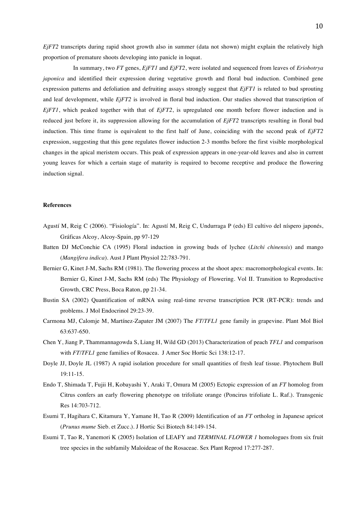*EjFT2* transcripts during rapid shoot growth also in summer (data not shown) might explain the relatively high proportion of premature shoots developing into panicle in loquat.

In summary, two *FT* genes, *EjFT1* and *EjFT2*, were isolated and sequenced from leaves of *Eriobotrya japonica* and identified their expression during vegetative growth and floral bud induction. Combined gene expression patterns and defoliation and defruiting assays strongly suggest that *EjFT1* is related to bud sprouting and leaf development, while *EjFT2* is involved in floral bud induction. Our studies showed that transcription of *EjFT1*, which peaked together with that of *EjFT2*, is upregulated one month before flower induction and is reduced just before it, its suppression allowing for the accumulation of *EjFT2* transcripts resulting in floral bud induction. This time frame is equivalent to the first half of June, coinciding with the second peak of *EjFT2* expression, suggesting that this gene regulates flower induction 2-3 months before the first visible morphological changes in the apical meristem occurs. This peak of expression appears in one-year-old leaves and also in current young leaves for which a certain stage of maturity is required to become receptive and produce the flowering induction signal.

## **References**

- Agustí M, Reig C (2006). "Fisiología". In: Agustí M, Reig C, Undurraga P (eds) El cultivo del níspero japonés, Gráficas Alcoy, Alcoy-Spain, pp 97-129
- Batten DJ McConchie CA (1995) Floral induction in growing buds of lychee (*Litchi chinensis*) and mango (*Mangifera indica*). Aust J Plant Physiol 22:783-791.
- Bernier G, Kinet J-M, Sachs RM (1981). The flowering process at the shoot apex: macromorphological events. In: Bernier G, Kinet J-M, Sachs RM (eds) The Physiology of Flowering. Vol II. Transition to Reproductive Growth*,* CRC Press, Boca Raton, pp 21-34.
- Bustin SA (2002) Quantification of mRNA using real-time reverse transcription PCR (RT-PCR): trends and problems. J Mol Endocrinol 29:23-39.
- Carmona MJ, Calomje M, Martínez-Zapater JM (2007) The *FT*/*TFL1* gene family in grapevine. Plant Mol Biol 63:637-650.
- Chen Y, Jiang P, Thammannagowda S, Liang H, Wild GD (2013) Characterization of peach *TFL1* and comparison with *FT*/*TFL1* gene families of Rosacea*.* J Amer Soc Hortic Sci 138:12-17.
- Doyle JJ, Doyle JL (1987) A rapid isolation procedure for small quantities of fresh leaf tissue. Phytochem Bull 19:11-15.
- Endo T, Shimada T, Fujii H, Kobayashi Y, Araki T, Omura M (2005) Ectopic expression of an *FT* homolog from Citrus confers an early flowering phenotype on trifoliate orange (Poncirus trifoliate L. Raf.). Transgenic Res 14:703-712.
- Esumi T, Hagihara C, Kitamura Y, Yamane H, Tao R (2009) Identification of an *FT* ortholog in Japanese apricot (*Prunus mume* Sieb. et Zucc.). J Hortic Sci Biotech 84:149-154.
- Esumi T, Tao R, Yanemori K (2005) Isolation of LEAFY and *TERMINAL FLOWER 1* homologues from six fruit tree species in the subfamily Maloideae of the Rosaceae. Sex Plant Reprod 17:277-287.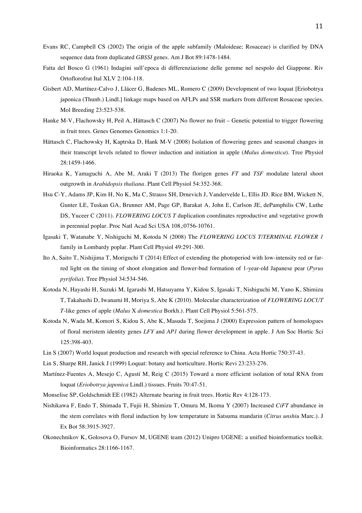- Evans RC, Campbell CS (2002) The origin of the apple subfamily (Maloideae; Rosaceae) is clarified by DNA sequence data from duplicated *GBSSI* genes. Am J Bot 89:1478-1484.
- Fatta del Bosco G (1961) Indagini sull'epoca di differenziazione delle gemme nel nespolo del Giappone. Riv Ortoflorofrut Ital XLV 2:104-118.
- Gisbert AD, Martínez-Calvo J, Llácer G, Badenes ML, Romero C (2009) Development of two loquat [Eriobotrya japonica (Thunb.) Lindl.] linkage maps based on AFLPs and SSR markers from different Rosaceae species. Mol Breeding 23:523-538.
- Hanke M-V, Flachowsky H, Peil A, Hättasch C (2007) No flower no fruit Genetic potential to trigger flowering in fruit trees. Genes Genomes Genomics 1:1-20.
- Hättasch C, Flachowsky H, Kaptrska D, Hank M-V (2008) Isolation of flowering genes and seasonal changes in their transcript levels related to flower induction and initiation in apple (*Malus domestica*). Tree Physiol 28:1459-1466.
- Hiraoka K, Yamaguchi A, Abe M, Araki T (2013) The florigen genes *FT* and *TSF* modulate lateral shoot outgrowth in *Arabidopsis thaliana*. Plant Cell Physiol 54:352-368.
- Hsu C-Y, Adams JP, Kim H, No K, Ma C, Strauss SH, Drnevich J, Vandervelde L, Ellis JD. Rice BM, Wickett N, Gunter LE, Tuskan GA, Brunner AM, Page GP, Barakat A, John E, Carlson JE, dePamphilis CW, Luthe DS, Yuceer C (2011). *FLOWERING LOCUS T* duplication coordinates reproductive and vegetative growth in perennial poplar. Proc Natl Acad Sci USA 108,:0756-10761.
- Igasaki T, Watanabe Y, Nishiguchi M, Kotoda N (2008) The *FLOWERING LOCUS T/TERMINAL FLOWER 1* family in Lombardy poplar. Plant Cell Physiol 49:291-300.
- Ito A, Saito T, Nishijima T, Moriguchi T (2014) Effect of extending the photoperiod with low-intensity red or farred light on the timing of shoot elongation and flower-bud formation of 1-year-old Japanese pear (*Pyrus pyrifolia*). Tree Physiol 34:534-546.
- Kotoda N, Hayashi H, Suzuki M, Igarashi M, Hatsuyama Y, Kidou S, Igasaki T, Nishiguchi M, Yano K, Shimizu T, Takahashi D, Iwanami H, Moriya S, Abe K (2010). Molecular characterization of *FLOWERING LOCUT T*-like genes of apple (*Malus* X *domestica* Borkh.). Plant Cell Physiol 5:561-575.
- Kotoda N, Wada M, Komori S, Kidou S, Abe K, Masuda T, Soejima J (2000) Expression pattern of homologues of floral meristem identity genes *LFY* and *AP1* during flower development in apple. J Am Soc Hortic Sci 125:398-403.
- Lin S (2007) World loquat production and research with special reference to China. Acta Hortic 750:37-43.
- Lin S, Sharpe RH, Janick J (1999) Loquat: botany and horticulture. Hortic Revi 23:233-276.
- Martínez-Fuentes A, Mesejo C, Agustí M, Reig C (2015) Toward a more efficient isolation of total RNA from loquat (*Eriobotrya japonica* Lindl.) tissues. Fruits 70:47-51.
- Monselise SP, Goldschmidt EE (1982) Alternate bearing in fruit trees. Hortic Rev 4:128-173.
- Nishikawa F, Endo T, Shimada T, Fujii H, Shimizu T, Omura M, Ikoma Y (2007) Increased *CiFT* abundance in the stem correlates with floral induction by low temperature in Satsuma mandarin (*Citrus unshiu* Marc.). J Ex Bot 58:3915-3927.
- Okonechnikov K, Golosova O, Fursov M, UGENE team (2012) Unipro UGENE: a unified bioinformatics toolkit. Bioinformatics 28:1166-1167.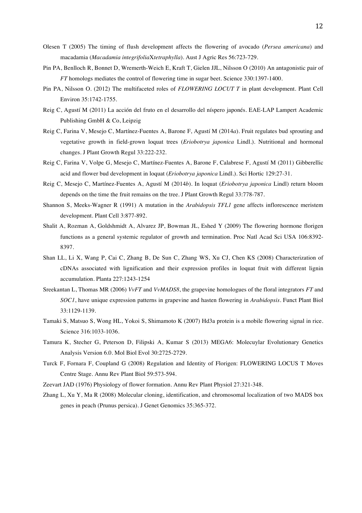- Olesen T (2005) The timing of flush development affects the flowering of avocado (*Persea americana*) and macadamia (*Macadamia integrifolia*X*tetraphylla*). Aust J Agric Res 56:723-729.
- Pin PA, Benlloch R, Bonnet D, Wremerth-Weich E, Kraft T, Gielen JJL, Nilsson O (2010) An antagonistic pair of *FT* homologs mediates the control of flowering time in sugar beet. Science 330:1397-1400.
- Pin PA, Nilsson O. (2012) The multifaceted roles of *FLOWERING LOCUT T* in plant development. Plant Cell Environ 35:1742-1755.
- Reig C, Agustí M (2011) La acción del fruto en el desarrollo del níspero japonés. EAE-LAP Lampert Academic Publishing GmbH & Co, Leipzig
- Reig C, Farina V, Mesejo C, Martínez-Fuentes A, Barone F, Agustí M (2014*a*). Fruit regulates bud sprouting and vegetative growth in field-grown loquat trees (*Eriobotrya japonica* Lindl.). Nutritional and hormonal changes. J Plant Growth Regul 33:222-232.
- Reig C, Farina V, Volpe G, Mesejo C, Martínez-Fuentes A, Barone F, Calabrese F, Agustí M (2011) Gibberellic acid and flower bud development in loquat (*Eriobotrya japonica* Lindl.). Sci Hortic 129:27-31.
- Reig C, Mesejo C, Martínez-Fuentes A, Agustí M (2014*b*). In loquat (*Eriobotrya japonica* Lindl) return bloom depends on the time the fruit remains on the tree. J Plant Growth Regul 33:778-787.
- Shannon S, Meeks-Wagner R (1991) A mutation in the *Arabidopsis TFL1* gene affects inflorescence meristem development. Plant Cell 3:877-892.
- Shalit A, Rozman A, Goldshmidt A, Alvarez JP, Bowman JL, Eshed Y (2009) The flowering hormone florigen functions as a general systemic regulator of growth and termination. Proc Natl Acad Sci USA 106:8392- 8397.
- Shan LL, Li X, Wang P, Cai C, Zhang B, De Sun C, Zhang WS, Xu CJ, Chen KS (2008) Characterization of cDNAs associated with lignification and their expression profiles in loquat fruit with different lignin accumulation. Planta 227:1243-1254
- Sreekantan L, Thomas MR (2006) *VvFT* and *VvMADS8*, the grapevine homologues of the floral integrators *FT* and *SOC1*, have unique expression patterns in grapevine and hasten flowering in *Arabidopsis*. Funct Plant Biol 33:1129-1139.
- Tamaki S, Matsuo S, Wong HL, Yokoi S, Shimamoto K (2007) Hd3a protein is a mobile flowering signal in rice. Science 316:1033-1036.
- Tamura K, Stecher G, Peterson D, Filipski A, Kumar S (2013) MEGA6: Molecuylar Evolutionary Genetics Analysis Version 6.0. Mol Biol Evol 30:2725-2729.
- Turck F, Fornara F, Coupland G (2008) Regulation and Identity of Florigen: FLOWERING LOCUS T Moves Centre Stage. Annu Rev Plant Biol 59:573-594.
- Zeevart JAD (1976) Physiology of flower formation. Annu Rev Plant Physiol 27:321-348.
- Zhang L, Xu Y, Ma R (2008) Molecular cloning, identification, and chromosomal localization of two MADS box genes in peach (Prunus persica). J Genet Genomics 35:365-372.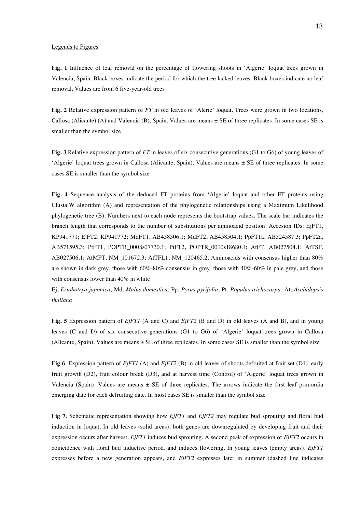## Legends to Figures

**Fig. 1** Influence of leaf removal on the percentage of flowering shoots in 'Algerie' loquat trees grown in Valencia, Spain. Black boxes indicate the period for which the tree lacked leaves. Blank boxes indicate no leaf removal. Values are from 6 five-year-old trees

**Fig. 2** Relative expression pattern of *FT* in old leaves of 'Alerie' loquat. Trees were grown in two locations, Callosa (Alicante) (A) and Valencia (B), Spain. Values are means ± SE of three replicates. In some cases SE is smaller than the symbol size

**Fig. 3** Relative expression pattern of *FT* in leaves of six consecutive generations (G1 to G6) of young leaves of 'Algerie' loquat trees grown in Callosa (Alicante, Spain). Values are means ± SE of three replicates. In some cases SE is smaller than the symbol size

**Fig. 4** Sequence analysis of the deduced FT proteins from 'Algerie' loquat and other FT proteins using ClustalW algorithm (A) and representation of the phylogenetic relationships using a Maximum Likelihood phylogenetic tree (B). Numbers next to each node represents the bootstrap values. The scale bar indicates the branch length that corresponds to the number of substitutions per aminoacid position. Accesion IDs: EjFT1, KP941771; EjFT2, KP941772; MdFT1, AB458506.1; MdFT2, AB458504.1; PpFT1a, AB524587.3; PpFT2a, AB571595.3; PtFT1, POPTR\_0008s07730.1; PtFT2, POPTR\_0010s18680.1; AtFT, AB027504.1; AtTSF, AB027506.1; AtMFT, NM 101672.3; AtTFL1, NM 120465.2. Aminoacids with consensus higher than 80% are shown in dark grey, those with 60%-80% consensus in grey, those with 40%-60% in pale grey, and those with consensus lower than 40% in white

Ej, *Eriobotrya japonica*; Md, *Malus domestica*; Pp, *Pyrus pyrifolia*; Pt, *Populus trichocarpa*; At, *Arabidopsis thaliana*

**Fig. 5** Expression pattern of *EjFT1* (A and C) and *EjFT2* (B and D) in old leaves (A and B), and in young leaves (C and D) of six consecutive generations (G1 to G6) of 'Algerie' loquat trees grown in Callosa (Alicante, Spain). Values are means  $\pm$  SE of three replicates. In some cases SE is smaller than the symbol size

**Fig 6**. Expression pattern of *EjFT1* (A) and *EjFT2* (B) in old leaves of shoots defruited at fruit set (D1), early fruit growth (D2), fruit colour break (D3), and at harvest time (Control) of 'Algerie' loquat trees grown in Valencia (Spain). Values are means  $\pm$  SE of three replicates. The arrows indicate the first leaf primordia emerging date for each defruiting date. In most cases SE is smaller than the symbol size

**Fig 7**. Schematic representation showing how *EjFT1* and *EjFT2* may regulate bud sprouting and floral bud induction in loquat. In old leaves (solid areas), both genes are downregulated by developing fruit and their expression occurs after harvest. *EjFT1* induces bud sprouting. A second peak of expression of *EjFT2* occurs in coincidence with floral bud inductive period, and induces flowering. In young leaves (empty areas), *EjFT1* expresses before a new generation appears, and *EjFT2* expresses later in summer (dashed line indicates